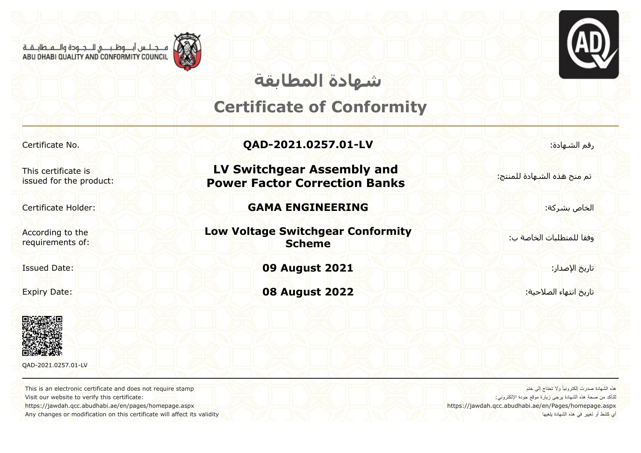م جالس أب وظب في اللـجــودة والــم طابــقــة<br>ABU DHABI QUALITY AND CONFORMITY COUNCIL





## **شھادة المطابقة**

### **Certificate of Conformity**

This certificate is issued for the product:

According to the requirements of:



QAD-2021.0257.01-LV

This is an electronic certificate and does not require stamp Visit our website to verify this certificate: https://jawdah.qcc.abudhabi.ae/en/pages/homepage.aspx

Any changes or modification on this certificate will affect its validity

Certificate No. **QAD-2021.0257.01-LV** :الشھادة رقم

**LV Switchgear Assembly and Power Factor Correction Banks** 

Certificate Holder: **GAMA ENGINEERING** :بشركة الخاص

**Low Voltage Switchgear Conformity Scheme**

Issued Date: **09 August 2021** :الإصدار تاريخ

تاريخ انتهاء الصلاحية: <mark>2022 - 1939 08 August 2022 - 2022 - 20</mark> Expiry Date:

تم منح ھذه الشھادة للمنتج:

وفقا للمتطلبات الخاصة ب:

ھذه الشھادة صدرت إلكترونیاً ولا تحتاج إلى ختم للتأكد م<mark>ن </mark>صحة هذ<mark>ه الشهادة برجى زيارة</mark> موقع جودة الإلكتروني: https://jawdah.qcc.abudhabi.ae/en/Pages/homepage.aspx أي كشط أو تغییر في ھذه الشھادة یلغیھا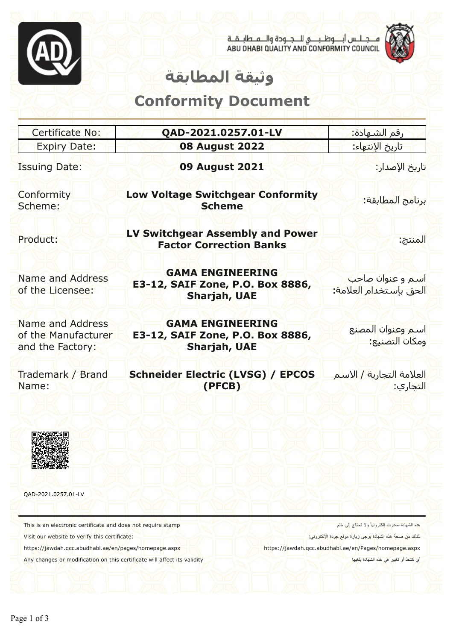

مـــجــلــس أبــــوظــبـــــي للـــجــودة والـــمــطابــقــة<br>ABU DHABI QUALITY AND CONFORMITY COUNCIL



#### **وثیقة المطابقة**

### **Conformity Document**

| Certificate No:                                                                                                                                                                                                                                    | QAD-2021.0257.01-LV                                                                | <mark>رقم الشـهادة:</mark>                                                                                                                                                                                     |
|----------------------------------------------------------------------------------------------------------------------------------------------------------------------------------------------------------------------------------------------------|------------------------------------------------------------------------------------|----------------------------------------------------------------------------------------------------------------------------------------------------------------------------------------------------------------|
| <b>Expiry Date:</b>                                                                                                                                                                                                                                | <b>08 August 2022</b>                                                              | تاريخ الإنتهاء:                                                                                                                                                                                                |
| <b>Issuing Date:</b>                                                                                                                                                                                                                               | <b>09 August 2021</b>                                                              | تاريخ الإصدار:                                                                                                                                                                                                 |
| Conformity<br>Scheme:                                                                                                                                                                                                                              | <b>Low Voltage Switchgear Conformity</b><br><b>Scheme</b>                          | برنامج المطابقة:                                                                                                                                                                                               |
| Product:                                                                                                                                                                                                                                           | <b>LV Switchgear Assembly and Power</b><br><b>Factor Correction Banks</b>          | المنتج:                                                                                                                                                                                                        |
| Name and Address<br>of the Licensee:                                                                                                                                                                                                               | <b>GAMA ENGINEERING</b><br>E3-12, SAIF Zone, P.O. Box 8886,<br><b>Sharjah, UAE</b> | <mark>استم و عنوان</mark> صاحب<br>الحق بإستخدام العلامة:                                                                                                                                                       |
| Name and Address<br>of the Manufacturer<br>and the Factory:                                                                                                                                                                                        | <b>GAMA ENGINEERING</b><br>E3-12, SAIF Zone, P.O. Box 8886,<br><b>Sharjah, UAE</b> | استم وعنوان المص <mark>ن</mark> ع<br>ومكان التصني <mark>ع:</mark>                                                                                                                                              |
| Trademark / Brand<br>Name:                                                                                                                                                                                                                         | <b>Schneider Electric (LVSG) / EPCOS</b><br>(PFCB)                                 | العلامة التجارية / الاسلم<br><mark>التجاري:</mark>                                                                                                                                                             |
|                                                                                                                                                                                                                                                    |                                                                                    |                                                                                                                                                                                                                |
| QAD-2021.0257.01-LV                                                                                                                                                                                                                                |                                                                                    |                                                                                                                                                                                                                |
| This is an electronic certificate and does not require stamp<br>Visit our website to verify this certificate:<br>https://jawdah.qcc.abudhabi.ae/en/pages/homepage.aspx<br>Any changes or modification on this certificate will affect its validity |                                                                                    | هذه الشهادة صدرت الكترونياً ولا تحتاج إلى ختم<br>للتَاكد من صحة هذه الشهادة برجي زيارة موقع جودة الإلكتروني:<br>https://jawdah.qcc.abudhabi.ae/en/Pages/homepage.aspx<br>أي كشط أو تغيير في هذه الشهادة بلغيها |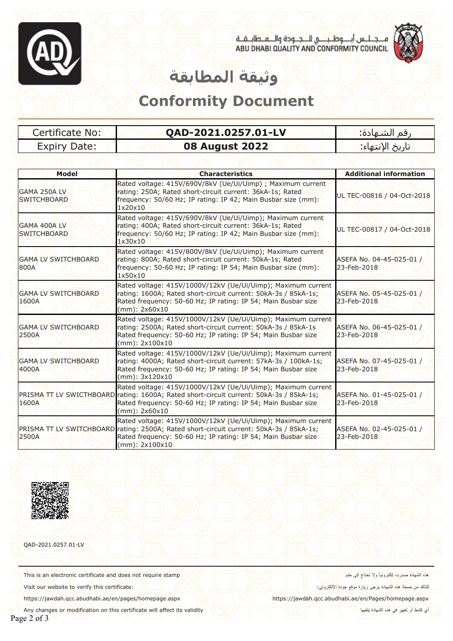



# **وثیقة المطابقة**

#### **Conformity Document**

| Certificate No:     | QAD-2021.0257.01-LV   | رقم الشـهادة: `                 |
|---------------------|-----------------------|---------------------------------|
| <b>Expiry Date:</b> | <b>08 August 2022</b> | <mark>اتاريخ الإنتهاء:</mark> ا |

| <b>Model</b>                        | <b>Characteristics</b>                                                                                                                                                                                                                        | <b>Additional information</b>           |
|-------------------------------------|-----------------------------------------------------------------------------------------------------------------------------------------------------------------------------------------------------------------------------------------------|-----------------------------------------|
| GAMA 250A LV<br><b>SWITCHBOARD</b>  | Rated voltage: 415V/690V/8kV (Ue/Ui/Uimp) ; Maximum current<br>rating: 250A; Rated short-circuit current: 36kA-1s; Rated<br>frequency: 50/60 Hz; IP rating: IP 42; Main Busbar size (mm):<br>1x20x10                                          | UL TEC-00816 / 04-Oct-2018              |
| GAMA 400A LV<br><b>SWITCHBOARD</b>  | Rated voltage: 415V/690V/8kV (Ue/Ui/Uimp); Maximum current<br>rating: 400A; Rated short-circuit current: 36kA-1s; Rated<br>frequency: 50/60 Hz; IP rating: IP 42; Main Busbar size (mm):<br>1x30x10                                           | UL TEC-00817 / 04-Oct-2018              |
| <b>GAMA LV SWITCHBOARD</b><br>800A  | Rated voltage: 415V/800V/8kV (Ue/Ui/Uimp); Maximum current<br>rating: 800A; Rated short-circuit current: 50kA-1s; Rated<br>frequency: 50-60 Hz; IP rating: IP 54; Main Busbar size (mm):<br>1x50x10                                           | ASEFA No. 04-45-025-01 /<br>23-Feb-2018 |
| <b>GAMA LV SWITCHBOARD</b><br>1600A | Rated voltage: 415V/1000V/12kV (Ue/Ui/Uimp); Maximum current<br>rating: 1600A; Rated short-circuit current: 50kA-3s / 85kA-1s;<br>Rated frequency: 50-60 Hz; IP rating: IP 54; Main Busbar size<br>$(mm)$ : 2x60x10                           | ASEFA No. 05-45-025-01 /<br>23-Feb-2018 |
| <b>GAMA LV SWITCHBOARD</b><br>2500A | Rated voltage: 415V/1000V/12kV (Ue/Ui/Uimp); Maximum current<br>rating: 2500A; Rated short-circuit current: 50kA-3s / 85kA-1s<br>Rated frequency: 50-60 Hz; IP rating: IP 54; Main Busbar size<br>$(mm)$ : 2x100x10                           | ASEFA No. 06-45-025-01 /<br>23-Feb-2018 |
| <b>GAMA LV SWITCHBOARD</b><br>4000A | Rated voltage: 415V/1000V/12kV (Ue/Ui/Uimp); Maximum current<br>rating: 4000A; Rated short-circuit current: 57kA-3s / 100kA-1s;<br>Rated frequency: 50-60 Hz; IP rating: IP 54; Main Busbar size<br>$(mm)$ : $3x120x10$                       | ASEFA No. 07-45-025-01 /<br>23-Feb-2018 |
| 1600A                               | Rated voltage: 415V/1000V/12kV (Ue/Ui/Uimp); Maximum current<br>PRISMA TT LV SWICTHBOARD rating: 1600A; Rated short-circuit current: 50kA-3s / 85kA-1s;<br>Rated frequency: 50-60 Hz; IP rating: IP 54; Main Busbar size<br>$(mm)$ : 2x60x10  | ASEFA No. 01-45-025-01 /<br>23-Feb-2018 |
| 2500A                               | Rated voltage: 415V/1000V/12kV (Ue/Ui/Uimp); Maximum current<br>PRISMA TT LV SWITCHBOARD rating: 2500A; Rated short-circuit current: 50kA-3s / 85kA-1s;<br>Rated frequency: 50-60 Hz; IP rating: IP 54; Main Busbar size<br>$(mm)$ : 2x100x10 | ASEFA No. 02-45-025-01 /<br>23-Feb-2018 |



QAD-2021.0257.01-LV

This is an electronic certificate and does not require stamp

Visit our website to verify this certificate:

https://jawdah.qcc.abudhabi.ae/en/pages/homepage.aspx

Any changes or modification on this certificate will affect its validity

ھذه الشھادة صدرت إلكترونیاً ولا تحتاج إلى ختم

<mark>للت</mark>اكد من صحة هذ<mark>ه ال</mark>شهادة ب<mark>رجى زيارة موقع جودة الإلكتروني:</mark>

https://jawdah.qcc.abudhabi.ae/en/Pages/homepage.aspx

أي كشط أو تغییر في ھذه الشھادة یلغیھا